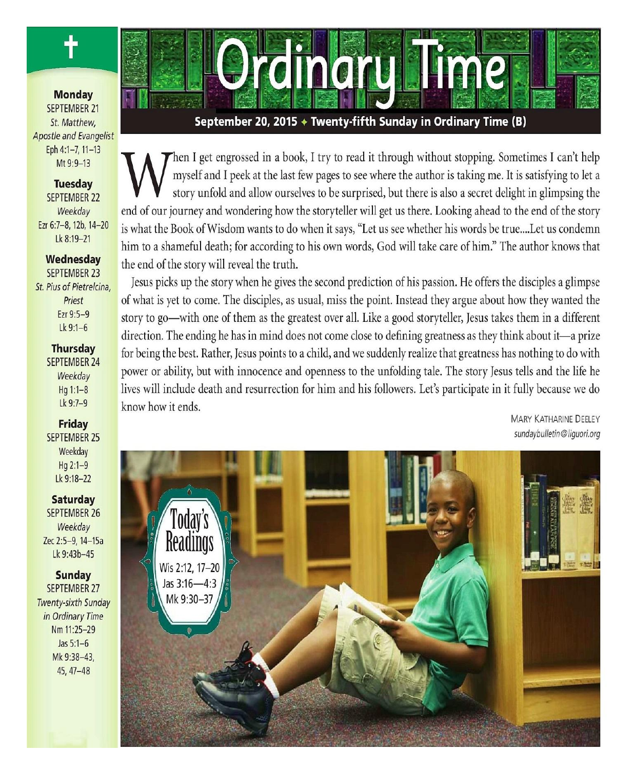

**Monday SEPTEMBER 21** St. Matthew. **Apostle and Evangelist** Eph 4:1-7, 11-13 Mt 9:9-13

#### **Tuesday** SEPTEMBER 22 Weekday Ezr 6:7-8, 12b, 14-20 Lk 8:19-21

## Wednesday

**SEPTEMBER 23** St. Pius of Pietrelcina, Priest Ezr 9:5-9  $Lk$  9:1-6

#### **Thursday**

**SEPTEMBER 24** Weekday  $Hq 1:1-8$ Lk 9:7-9

**Friday SEPTEMBER 25** Weekday  $Hq 2:1-9$ Lk 9:18-22

**Saturday SEPTEMBER 26** Weekday Zec 2:5-9, 14-15a Lk 9:43b-45

#### **Sunday**

**SEPTEMBER 27** Twenty-sixth Sunday in Ordinary Time Nm 11:25-29 Jas  $5:1-6$ Mk 9:38-43,  $45, 47 - 48$ 



September 20, 2015 → Twenty-fifth Sunday in Ordinary Time (B)

Then I get engrossed in a book, I try to read it through without stopping. Sometimes I can't help myself and I peek at the last few pages to see where the author is taking me. It is satisfying to let a story unfold and allow ourselves to be surprised, but there is also a secret delight in glimpsing the end of our journey and wondering how the storyteller will get us there. Looking ahead to the end of the story is what the Book of Wisdom wants to do when it says, "Let us see whether his words be true....Let us condemn him to a shameful death; for according to his own words, God will take care of him." The author knows that the end of the story will reveal the truth.

Jesus picks up the story when he gives the second prediction of his passion. He offers the disciples a glimpse of what is yet to come. The disciples, as usual, miss the point. Instead they argue about how they wanted the story to go—with one of them as the greatest over all. Like a good storyteller, Jesus takes them in a different direction. The ending he has in mind does not come close to defining greatness as they think about it—a prize for being the best. Rather, Jesus points to a child, and we suddenly realize that greatness has nothing to do with power or ability, but with innocence and openness to the unfolding tale. The story Jesus tells and the life he lives will include death and resurrection for him and his followers. Let's participate in it fully because we do know how it ends.

**MARY KATHARINE DEELEY** sundaybulletin@liquori.org

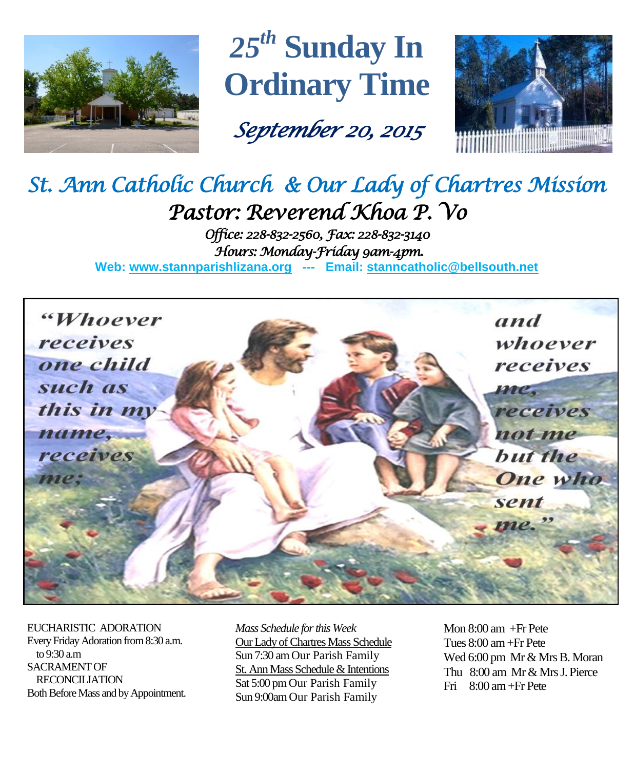

*25 th* **Sunday In Ordinary Time**

*September 20, 2015* 



# *St. Ann Catholic Church & Our Lady of Chartres Mission Pastor: Reverend Khoa P. Vo*

*Office: 228-832-2560, Fax: 228-832-3140 Hours: Monday-Friday 9am-4pm.*  **Web: www.stannparishlizana.org --- Email: [stanncatholic@bellsouth.net](mailto:stanncatholic@bellsouth.net)**



EUCHARISTIC ADORATION Every Friday Adoration from 8:30 a.m. to 9:30 a.m SACRAMENT OF RECONCILIATION Both Before Mass and by Appointment. *Mass Schedule for this Week*  Our Lady of Chartres Mass Schedule Sun 7:30 am Our Parish Family St. Ann Mass Schedule & Intentions Sat 5:00 pm Our Parish Family Sun 9:00am Our Parish Family

Mon 8:00 am +Fr Pete Tues 8:00 am +Fr Pete Wed 6:00 pm Mr & Mrs B. Moran Thu 8:00 am Mr & Mrs J. Pierce Fri 8:00 am+Fr Pete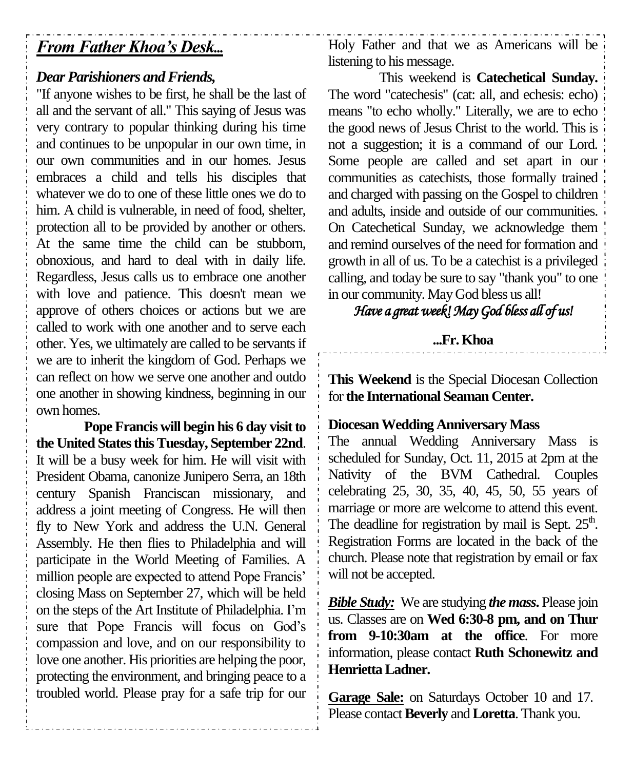# *From Father Khoa's Desk...*

## *Dear Parishioners and Friends,*

"If anyone wishes to be first, he shall be the last of all and the servant of all." This saying of Jesus was very contrary to popular thinking during his time and continues to be unpopular in our own time, in our own communities and in our homes. Jesus embraces a child and tells his disciples that whatever we do to one of these little ones we do to him. A child is vulnerable, in need of food, shelter, protection all to be provided by another or others. At the same time the child can be stubborn, obnoxious, and hard to deal with in daily life. Regardless, Jesus calls us to embrace one another with love and patience. This doesn't mean we approve of others choices or actions but we are called to work with one another and to serve each other. Yes, we ultimately are called to be servants if we are to inherit the kingdom of God. Perhaps we can reflect on how we serve one another and outdo one another in showing kindness, beginning in our own homes.

**Pope Francis will begin his 6 day visit to the United States this Tuesday, September 22nd**. It will be a busy week for him. He will visit with President Obama, canonize Junipero Serra, an 18th century Spanish Franciscan missionary, and address a joint meeting of Congress. He will then fly to New York and address the U.N. General Assembly. He then flies to Philadelphia and will participate in the World Meeting of Families. A million people are expected to attend Pope Francis' closing Mass on September 27, which will be held on the steps of the Art Institute of Philadelphia. I'm sure that Pope Francis will focus on God's compassion and love, and on our responsibility to love one another. His priorities are helping the poor, protecting the environment, and bringing peace to a troubled world. Please pray for a safe trip for our

Holy Father and that we as Americans will be listening to his message.

This weekend is **Catechetical Sunday.**  The word "catechesis" (cat: all, and echesis: echo) means "to echo wholly." Literally, we are to echo the good news of Jesus Christ to the world. This is not a suggestion; it is a command of our Lord. Some people are called and set apart in our communities as catechists, those formally trained and charged with passing on the Gospel to children and adults, inside and outside of our communities. On Catechetical Sunday, we acknowledge them and remind ourselves of the need for formation and growth in all of us. To be a catechist is a privileged calling, and today be sure to say "thank you" to one in our community. May God bless us all!

## *Have a great week! May God bless all of us!*

## **...Fr. Khoa**

**This Weekend** is the Special Diocesan Collection for **the International Seaman Center.**

### **Diocesan Wedding Anniversary Mass**

The annual Wedding Anniversary Mass is scheduled for Sunday, Oct. 11, 2015 at 2pm at the Nativity of the BVM Cathedral. Couples celebrating 25, 30, 35, 40, 45, 50, 55 years of marriage or more are welcome to attend this event. The deadline for registration by mail is Sept.  $25<sup>th</sup>$ . Registration Forms are located in the back of the church. Please note that registration by email or fax will not be accepted.

*Bible Study:* We are studying *the mass***.** Please join us. Classes are on **Wed 6:30-8 pm, and on Thur from 9-10:30am at the office**. For more information, please contact **Ruth Schonewitz and Henrietta Ladner.**

**Garage Sale:** on Saturdays October 10 and 17. Please contact **Beverly** and **Loretta**. Thank you.